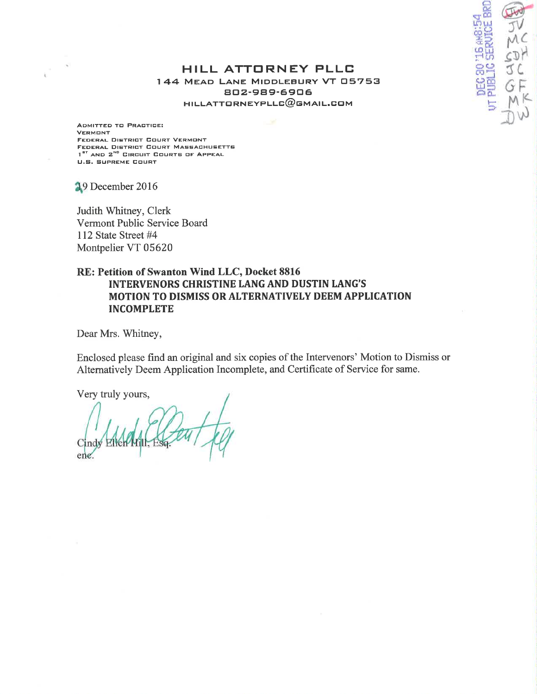### HILL ATTORNEY PLLC 144 MEAD LANE MIDDLEBURY VT 05753 802-989-6906  $HILLATTORNEYPLLG@GMAL.GOM$

**BAAB** 

ADMITTED TO PRACTICE: **VERMONT** FEDERAL DISTRICT COURT VERMONT FEDERAL DISTRICT COURT MASSACHUSETTS 1<sup>er</sup> AND 2<sup>ND</sup> CIRCUIT COURTS OF APPEAL **U.S. SUPREME COURT** 

19 December 2016

Judith Whitney, Clerk Vermont Public Service Board 112 State Street #4 Montpelier VT 05620

## RE: Petition of Swanton Wind LLC, Docket 8816 **INTERVENORS CHRISTINE LANG AND DUSTIN LANG'S** MOTION TO DISMISS OR ALTERNATIVELY DEEM APPLICATION **INCOMPLETE**

Dear Mrs. Whitney,

Enclosed please find an original and six copies of the Intervenors' Motion to Dismiss or Alternatively Deem Application Incomplete, and Certificate of Service for same.

Very truly yours,

ene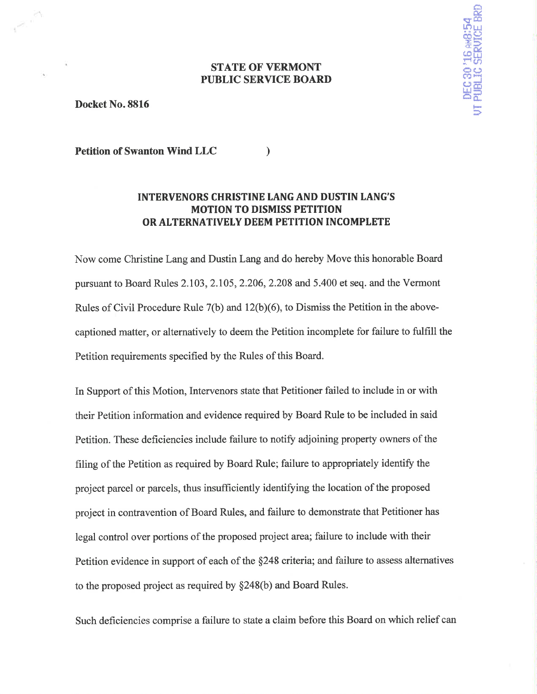## **STATE OF VERMONT PUBLIC SERVICE BOARD**

DEC 30<sup>1</sup>16 AKB:54<br>UT PUBLIC SERVICE BRD

Docket No. 8816

**Petition of Swanton Wind LLC**  $\lambda$ 

# **INTERVENORS CHRISTINE LANG AND DUSTIN LANG'S MOTION TO DISMISS PETITION** OR ALTERNATIVELY DEEM PETITION INCOMPLETE

Now come Christine Lang and Dustin Lang and do hereby Move this honorable Board pursuant to Board Rules 2.103, 2.105, 2.206, 2.208 and 5.400 et seq. and the Vermont Rules of Civil Procedure Rule 7(b) and 12(b)(6), to Dismiss the Petition in the abovecaptioned matter, or alternatively to deem the Petition incomplete for failure to fulfill the Petition requirements specified by the Rules of this Board.

In Support of this Motion, Intervenors state that Petitioner failed to include in or with their Petition information and evidence required by Board Rule to be included in said Petition. These deficiencies include failure to notify adjoining property owners of the filing of the Petition as required by Board Rule; failure to appropriately identify the project parcel or parcels, thus insufficiently identifying the location of the proposed project in contravention of Board Rules, and failure to demonstrate that Petitioner has legal control over portions of the proposed project area; failure to include with their Petition evidence in support of each of the §248 criteria; and failure to assess alternatives to the proposed project as required by  $\S248(b)$  and Board Rules.

Such deficiencies comprise a failure to state a claim before this Board on which relief can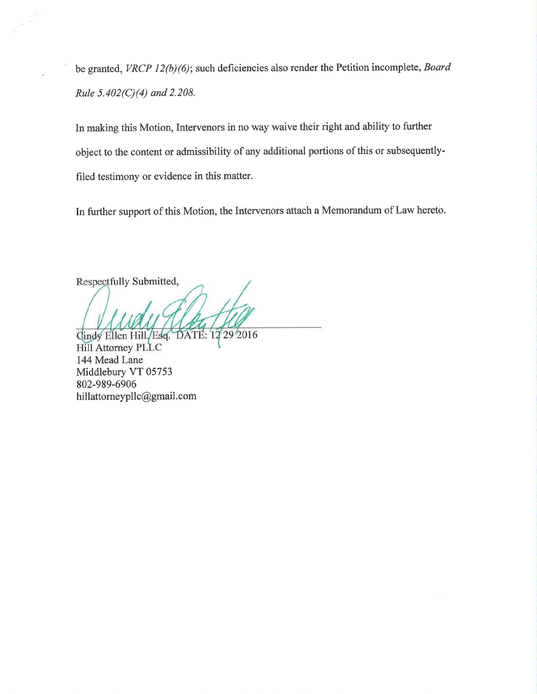be granted, VRCP 12(b)(6); such deficiencies also render the Petition incomplete, Board Rule  $5.402(C)(4)$  and  $2.208$ .

In making this Motion, Intervenors in no way waive their right and ability to further object to the content or admissibility of any additional portions of this or subsequentlyfiled testimony or evidence in this matter.

In further support of this Motion, the Intervenors attach a Memorandum of Law hereto.

Respectfully Submitted,

Cindy Ellen Hill, Esq. DATE: 12 29 2016 Hill Attorney PLLC 144 Mead Lane Middlebury VT 05753 802-989-6906 hillattorneypllc@gmail.com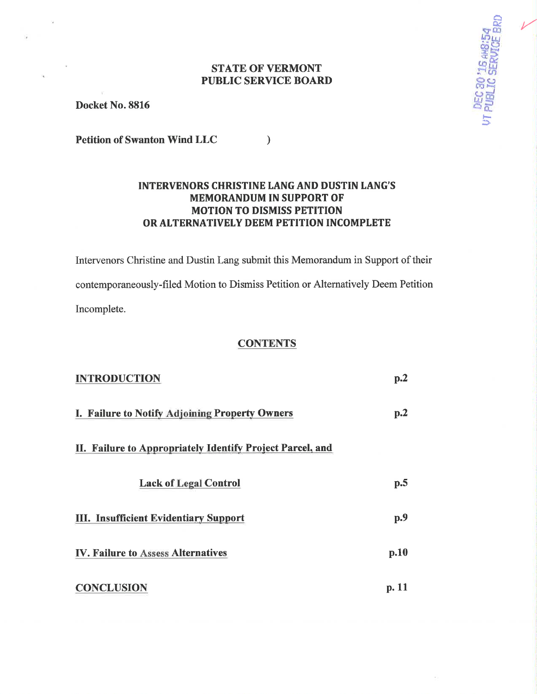## **STATE OF VERMONT PUBLIC SERVICE BOARD**

UT PUBLIC SERUICE B

Docket No. 8816

**Petition of Swanton Wind LLC**  $\mathcal{L}$ 

# **INTERVENORS CHRISTINE LANG AND DUSTIN LANG'S MEMORANDUM IN SUPPORT OF MOTION TO DISMISS PETITION** OR ALTERNATIVELY DEEM PETITION INCOMPLETE

Intervenors Christine and Dustin Lang submit this Memorandum in Support of their contemporaneously-filed Motion to Dismiss Petition or Alternatively Deem Petition Incomplete.

### **CONTENTS**

| <b>INTRODUCTION</b>                                       | p <sub>0</sub> 2        |
|-----------------------------------------------------------|-------------------------|
| I. Failure to Notify Adjoining Property Owners            | $\mathbf{p}.\mathbf{2}$ |
| II. Failure to Appropriately Identify Project Parcel, and |                         |
| <b>Lack of Legal Control</b>                              | p.5                     |
| <b>III. Insufficient Evidentiary Support</b>              | p.9                     |
| <b>IV. Failure to Assess Alternatives</b>                 | $\mathbf{p.10}$         |
| <b>CONCLUSION</b>                                         | p. 11                   |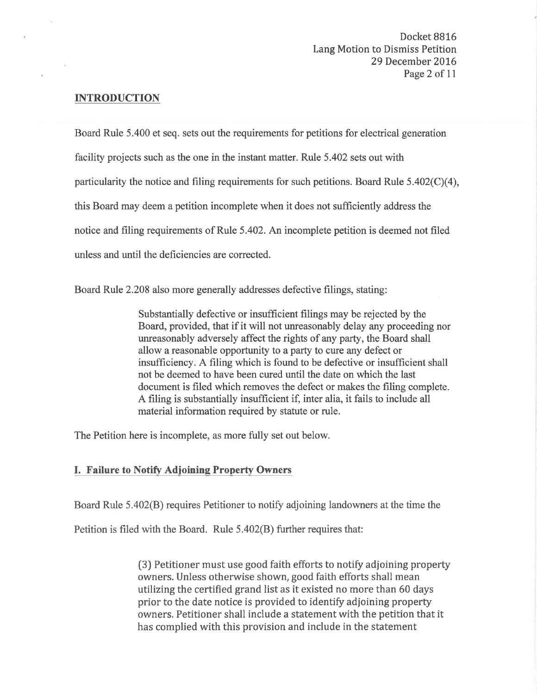## INTRODUCTION

Board Rule 5.400 et seq. sets out the requirements for petitions for electrical generation facility projects such as the one in the instant matter. Rule 5.402 sets out with particularity the notice and filing requirements for such petitions. Board Rule  $5.402(C)(4)$ , this Board may deem a petition incomplete when it does not sufficiently address the notice and filing requirements of Rule 5.402. An incomplete petition is deemed not filed unless and until the deficiencies are corrected.

Board Rule 2.208 also more generally addresses defective filings, stating:

Substantially defective or insufficient filings may be rejected by the Board, provided, that if it will not unreasonably delay any proceeding nor unreasonably adversely affect the rights of any party, the Board shall allow a reasonable opportunity to a party to cure any defect or insufficiency. A filing which is found to be defective or insufficient shall not be deemed to have been cured until the date on which the last document is filed which removes the defect or makes the filing complete. A filing is substantially insufficient if, inter alia, it fails to include all material information required by statute or rule.

The Petition here is incomplete, as more fully set out below.

# I. Failure to Notifv Adioinine Property Owners

Board Rule 5.402(B) requires Petitioner to notify adjoining landowners at the time the

Petition is filed with the Board. Rule 5.402(8) further requires that:

(3) Petitioner must use good faith efforts to notify adjoining property owners. Unless otherwise shown, good faith efforts shall mean utilizing the certified grand list as it existed no more than 60 days prior to the date notice is provided to identify adjoining property owners. Petitioner shall include a statement with the petition that it has complied with this provision and include in the statement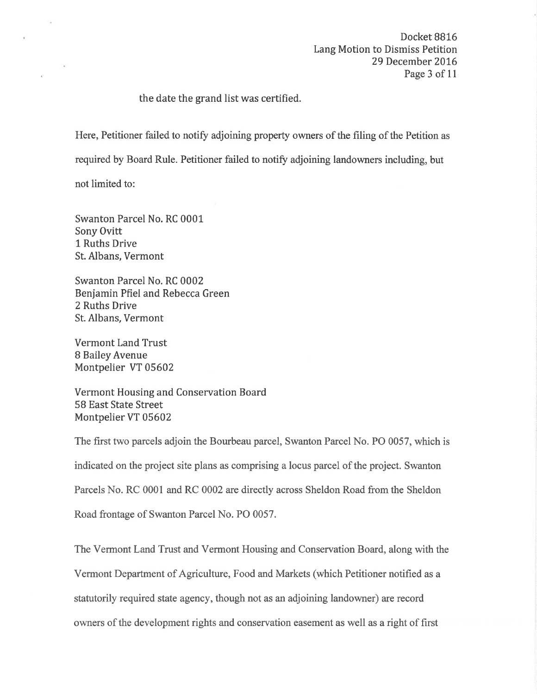Docket BB16 Lang Motion to Dismiss Petition 29 December 2016 Page 3 of 11

the date the grand list was certified.

Here, Petitioner failed to notify adjoining property owners of the filing of the Petition as

required by Board Rule. Petitioner failed to notify adjoining landowners including, but

not limited to:

Swanton Parcel No. RC 0001 Sony Ovitt 1 Ruths Drive St. Albans, Vermont

Swanton Parcel No. RC 0002 Benjamin Pfiel and Rebecca Green 2 Ruths Drive St. Albans, Vermont

Vermont Land Trust 8 Bailey Avenue Montpelier VT 05602

Vermont Housing and Conservation Board 58 East State Street Montpelier VT 05602

The first two parcels adjoin the Bourbeau parcel, Swanton Parcel No. PO 0057, which is indicated on the project site plans as comprising a locus parcel of the project. Swanton Parcels No. RC 0001 and RC 0002 are directly across Sheldon Road from the Sheldon Road frontage of Swanton Parcel No. PO 0057.

The Vermont Land Trust and Vermont Housing and Conservation Board, along with the Vermont Department of Agriculture, Food and Markets (which Petitioner notified as a statutorily required state agency, though not as an adjoining landowner) are record owners of the development rights and conservation easement as well as a right of first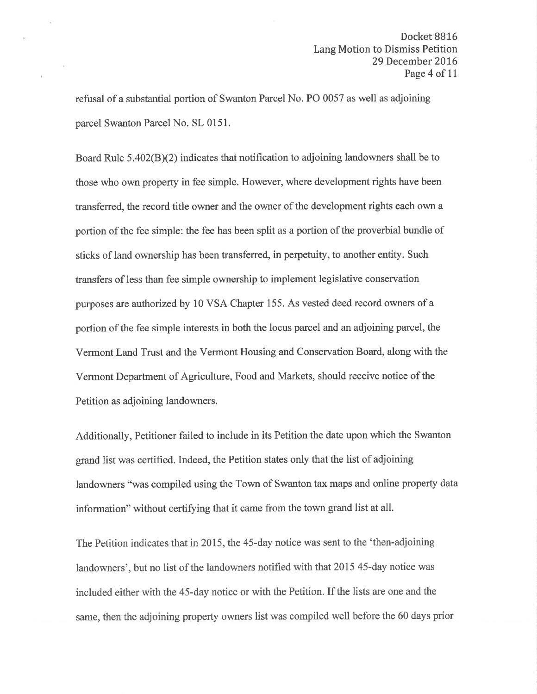Docket 8816 Lang Motion to Dismiss Petition 29 December 2016 Page 4 of 11

refusal of a substantial portion of Swanton Parcel No. PO 0057 as well as adjoining parcel Swanton Parcel No. SL 0151.

Board Rule  $5.402(B)(2)$  indicates that notification to adjoining landowners shall be to those who own property in fee simple. However, where development rights have been transferred, the record title owner and the owner of the development rights each own a portion of the fee simple: the fee has been split as a portion of the proverbial bundle of sticks of land ownership has been transferred, in perpetuity, to another entity. Such transfers of less than fee simple ownership to implement legislative conservation purposes are authorized by 10 VSA Chapter 155. As vested deed record owners of a portion of the fee simple interests in both the locus parcel and an adjoining parcel, the Vermont Land Trust and the Vermont Housing and Conservation Board, along with the Vermont Department of Agriculture, Food and Markets, should receive notice of the Petition as adjoining landowners.

Additionally, Petitioner failed to include in its Petition the date upon which the Swanton grand list was certified. Indeed, the Petition states only that the list of adjoining landowners "was compiled using the Town of Swanton tax maps and online property data information" without certifying that it came from the town grand list at all.

The Petition indicates that in 2015, the 45-day notice was sent to the 'then-adjoining landowners', but no list of the landowners notified with that 2015 45-day notice was included either with the 45-day notice or with the Petition. If the lists are one and the same, then the adjoining property owners list was compiled well before the 60 days prior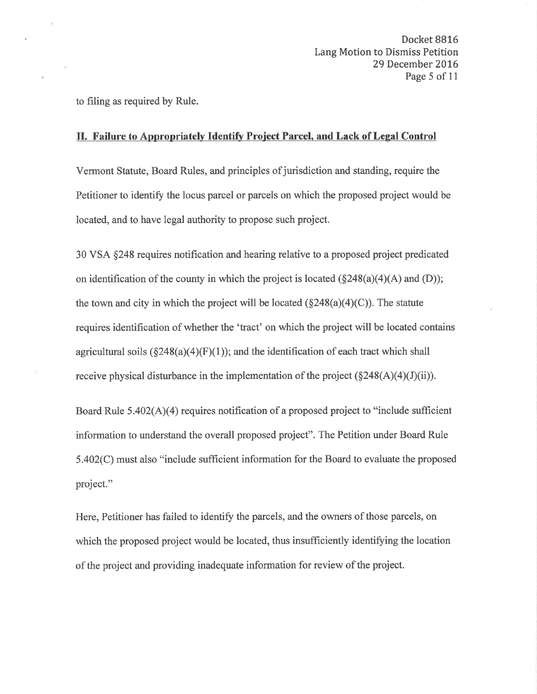Docket 8816 Lang Motion to Dismiss Petition 29 December 2016 Page 5 of 11

to filing as required by Rule.

### II. Failure to Appropriately Identify Project Parcel, and Lack of Legal Control

Vermont Statute, Board Rules, and principles of jurisdiction and standing, require the Petitioner to identify the locus parcel or parcels on which the proposed project would be located, and to have legal authority to propose such project.

30 VSA \$248 requires notification and hearing relative to a proposed project predicated on identification of the county in which the project is located  $(\S248(a)(4)(A)$  and  $(D))$ ; the town and city in which the project will be located  $(\S 248(a)(4)(C))$ . The statute requires identification of whether the 'tract' on which the project will be located contains agricultural soils  $(\S248(a)(4)(F)(1))$ ; and the identification of each tract which shall receive physical disturbance in the implementation of the project  $(\S 248(A)(4)(J)(ii))$ .

Board Rule  $5.402(A)(4)$  requires notification of a proposed project to "include sufficient" information to understand the overall proposed project". The Petition under Board Rule  $5.402(C)$  must also "include sufficient information for the Board to evaluate the proposed project."

Here, Petitioner has failed to identify the parcels, and the owners of those parcels, on which the proposed project would be located, thus insufficiently identifying the location of the project and providing inadequate information for review of the project.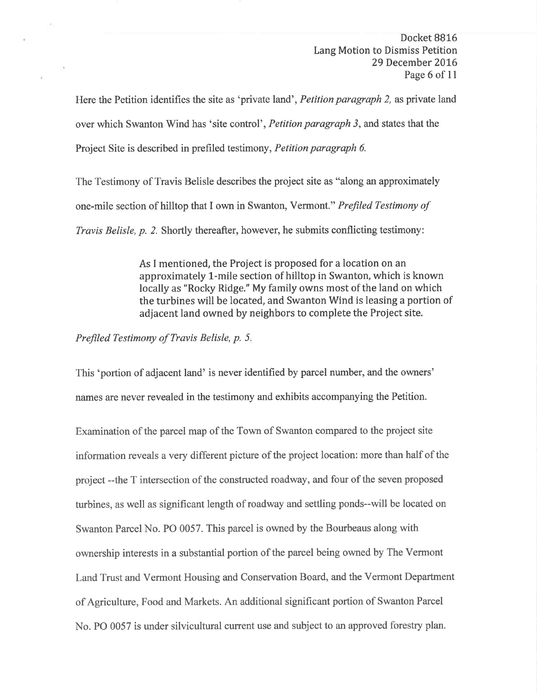Docket BB16 Lang Motion to Dismiss Petition 29 December 2016 Page 6 of 11

Here the Petition identifies the site as 'private land', Petition paragraph 2, as private land over which Swanton Wind has 'site control', Petition paragraph 3, and states that the Project Site is described in prefiled testimony, Petition paragraph 6.

The Testimony of Travis Belisle describes the project site as "along an approximately one-mile section of hilltop that I own in Swanton, Vermont." Prefiled Testimony of Travis Belisle, p. 2. Shortly thereafter, however, he submits conflicting testimony:

> As I mentioned, the Project is proposed for a location on an approximately l-mile section of hilltop in Swanton, which is known locally as "Rocky Ridge." My family owns most of the land on which the turbines will be located, and Swanton Wind is leasing a portion of adjacent land owned by neighbors to complete the Project site.

Prefiled Testimony of Travis Belisle, p. 5.

This 'portion of adjacent land' is never identified by parcel number, and the owners' names are never revealed in the testimony and exhibits accompanying the Petition.

Examination of the parcel map of the Town of Swanton compared to the project site information reveals a very different picture of the project location: more than half of the project --the T intersection of the constructed roadway, and four of the seven proposed turbines, as well as significant length of roadway and settling ponds--will be located on Swanton Parcel No. PO 0057. This parcel is owned by the Bourbeaus along with ownership interests in a substantial portion of the parcel being owned by The Vermont Land Trust and Vermont Housing and Conservation Board, and the Vermont Department of Agriculture, Food and Markets. An additional significant portion of Swanton Parcel No. PO 0057 is under silvicultural current use and subject to an approved forestry plan.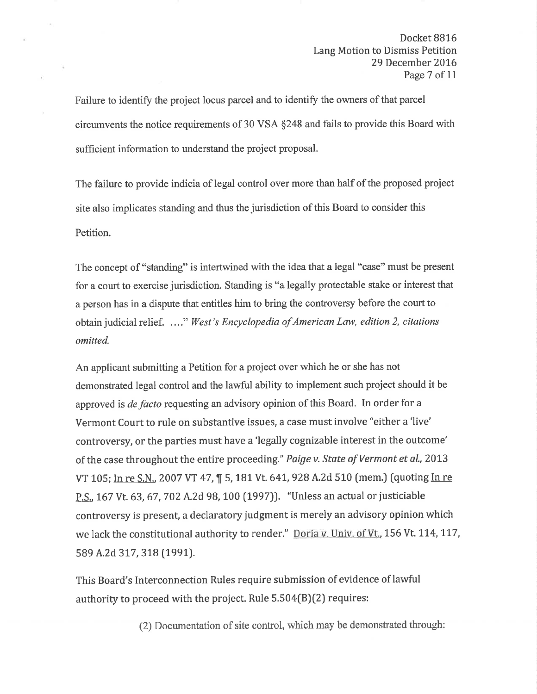Docket BB16 Lang Motion to Dismiss Petition 29 December 2016 Page 7 of 11

Failure to identify the project locus parcel and to identify the owners of that parcel circumvents the notice requirements of 30 VSA \$248 and fails to provide this Board with sufficient information to understand the project proposal.

The failure to provide indicia of legal control over more than half of the proposed project site also implicates standing and thus the jurisdiction of this Board to consider this Petition.

The concept of "standing" is intertwined with the idea that a legal "case" must be present for a court to exercise jurisdiction. Standing is "a legally protectable stake or interest that a person has in a dispute that entitles him to bring the controversy before the court to obtain judicial relief. ...." West's Encyclopedia of American Law, edition 2, citations omitted.

An applicant submitting a Petition for a project over which he or she has not demonstrated legal control and the lawful ability to implement such project should it be approved is *de facto* requesting an advisory opinion of this Board. In order for a Vermont Court to rule on substantive issues, a case must involve "either a'live' controversy, or the parties must have a'legally cognizable interest in the outcome' of the case throughout the entire proceeding." Paige v. State of Vermont et al., 2013 VT 105; In re S.N., 2007 VT 47, 15, 181 Vt. 641, 928 A.2d 510 (mem.) (quoting In re P.S., 167 Vt. 63, 67, 702 A.2d 98, 100 (1997)). "Unless an actual or justiciable controversy is present, a declaratory judgment is merely an advisory opinion which we lack the constitutional authority to render." Doria v. Univ. of Vt., 156 Vt. 114, 117, 589 A.2d 317, 318 (1991).

This Board's Interconnection Rules require submission of evidence of lawful authority to proceed with the project. Rule  $5.504(B)(2)$  requires:

(2) Documentation of site control, which may be demonstrated through: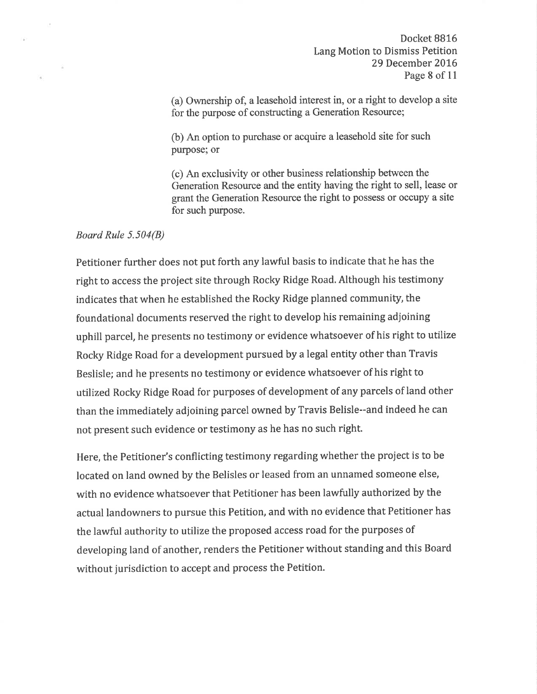(a) Ownership of, a leasehold interest in, or a right to develop a site for the purpose of constructing a Generation Resource;

(b) An option to purchase or acquire a leasehold site for such purpose; or

(c) An exclusivity or other business relationship between the Generation Resource and the entity having the right to sell, lease or grant the Generation Resource the right to possess or occupy a site for such purpose.

### Board Rule 5.504(8)

Petitioner further does not put forth any lawful basis to indicate that he has the right to access the project site through Rocky Ridge Road. Although his testimony indicates that when he established the Rocky Ridge planned community, the foundational documents reserved the right to develop his remaining adjoining uphill parcel, he presents no testimony or evidence whatsoever of his right to utilize Rocky Ridge Road for a development pursued by a legal entity other than Travis Beslisle; and he presents no testimony or evidence whatsoever of his right to utilized Rocky Ridge Road for purposes of development of any parcels of land other than the immediately adjoining parcel owned by Travis Belisle--and indeed he can not present such evidence or testimony as he has no such right.

Here, the Petitioner's conflicting testimony regarding whether the project is to be located on land owned by the Belisles or leased from an unnamed someone else, with no evidence whatsoever that Petitioner has been lawfully authorized by the actual landowners to pursue this Petition, and with no evidence that Petitioner has the lawful authority to utilize the proposed access road for the purposes of developing land of another, renders the Petitioner without standing and this Board without jurisdiction to accept and process the Petition.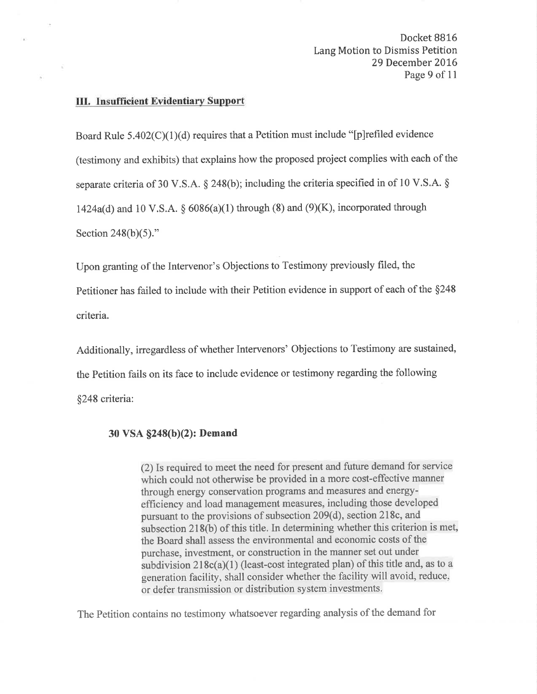Docket 8816 Lang Motion to Dismiss Petition 29 December 2016 Page 9 of 11

#### III. Insufficient Evidentiary Support

Board Rule  $5.402(C)(1)(d)$  requires that a Petition must include "[p] refiled evidence (testimony and exhibits) that explains how the proposed project complies with each of the separate criteria of 30 V.S.A.  $\S$  248(b); including the criteria specified in of 10 V.S.A.  $\S$ 1424a(d) and 10 V.S.A.  $\S$  6086(a)(1) through (8) and (9)(K), incorporated through Section  $248(b)(5)$ ."

Upon granting of the Intervenor's Objections to Testimony previously filed, the Petitioner has failed to include with their Petition evidence in support of each of the \$248 criteria.

Additionally, irregardless of whether Intervenors' Objections to Testimony are sustained, the Petition fails on its face to include evidence or testimony regarding the following \$248 criteria:

### 30 VSA §248(b)(2): Demand

 $(2)$  Is required to meet the need for present and future demand for service which could not otherwise be provided in a more cost-effective manner through energy conservation programs and measures and energyefficiency and load management measures, including those developed pursuant to the provisions of subsection 209(d), section 218c, and subsection 218(b) of this title. In determining whether this criterion is met, the Board shall assess the environmental and economic costs of the purchase, investment, or construction in the manner set out under subdivision  $218c(a)(1)$  (least-cost integrated plan) of this title and, as to a generation facility, shall consider whether the facility will avoid, reduce, or defer transmission or distribution system investments.

The Petition contains no testimony whatsoever regarding analysis of the demand for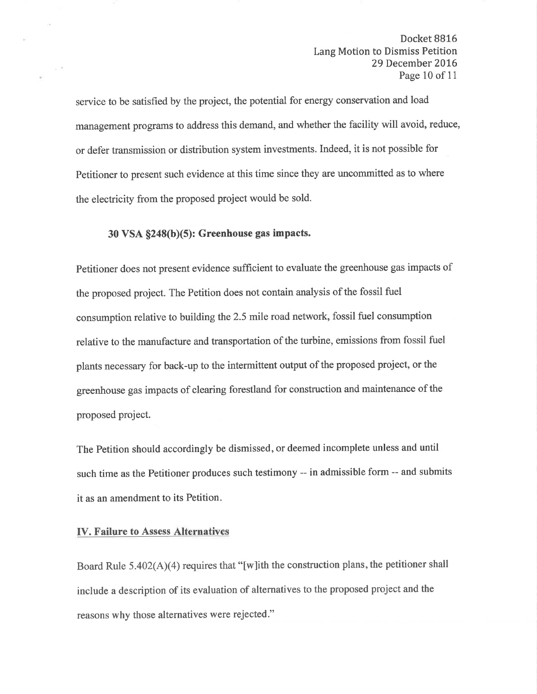## Docket 8816 Lang Motion to Dismiss Petition 29 December 2016 Page 10 of 11

service to be satisfied by the project, the potential for energy conservation and load management programs to address this demand, and whether the facility will avoid, reduce, or defer transmission or distribution system investments. Indeed, it is not possible for Petitioner to present such evidence at this time since they are uncommitted as to where the electricity from the proposed project would be sold.

# $30$  VSA  $\S$ 248(b)(5): Greenhouse gas impacts.

Petitioner does not present evidence sufficient to evaluate the greenhouse gas impacts of the proposed project. The Petition does not contain analysis of the fossil fuel consumption relative to building the2.5 mile road network, fossil fuel consumption relative to the manufacture and transportation of the turbine, emissions from fossil fuel plants necessary for back-up to the intermittent output of the proposed project, or the greenhouse gas impacts of clearing forestland for construction and maintenance of the proposed project.

The Petition should accordingly be dismissed, or deemed incomplete unless and until such time as the Petitioner produces such testimony -- in admissible form -- and submits it as an amendment to its Petition.

### IV. Failure to Assess Alternatives

Board Rule  $5.402(A)(4)$  requires that "[w]ith the construction plans, the petitioner shall include a description of its evaluation of alternatives to the proposed project and the reasons why those alternatives were rejected."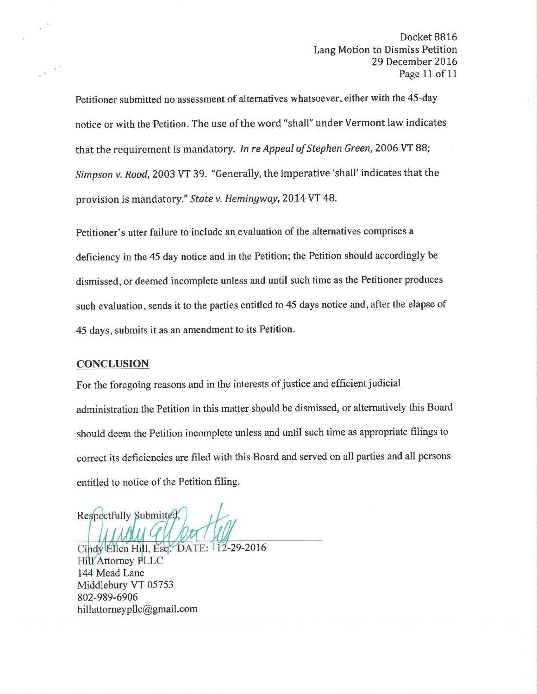Petitioner submitted no assessment of alternatives whatsoever, either with the 45-day notice or with the Petition. The use of the word "shall" under Vermont law indicates that the requirement is mandatory. In re Appeal of Stephen Green, 2006 VT 88; Simpson v. Rood,2003 VT 39. "Generally, the imperative'shall' indicates that the provision is mandatory." State v. Hemingway, 2014 VT 48.

Petitioner's utter failure to include an evaluation of the alternatives comprises a deficiency in the 45 day notice and in the Petition; the Petition should accordingly be dismissed, or deemed incomplete unless and until such time as the Petitioner produces such evaluation, sends it to the parties entitled to 45 days notice and, after the elapse of 45 days, submits it as an amendment to its Petition.

### **CONCLUSION**

For the foregoing reasons and in the interests of justice and efficient judicial administration the Petition in this matter should be dismissed, or alternatively this Board should deem the Petition incomplete unless and until such time as appropriate filings to correct its deficiencies are filed with this Board and served on all parties and all persons entitled to notice of the Petition filing.

Respectfully Submitted,

Cindy Ellen Hill, Esq. DATE: 12-29-2016 **Hill**'Attorney PLLC 144 Mead Lane Middlebury VT 05753 802-989-6906 hillattorney pllc@gmail.com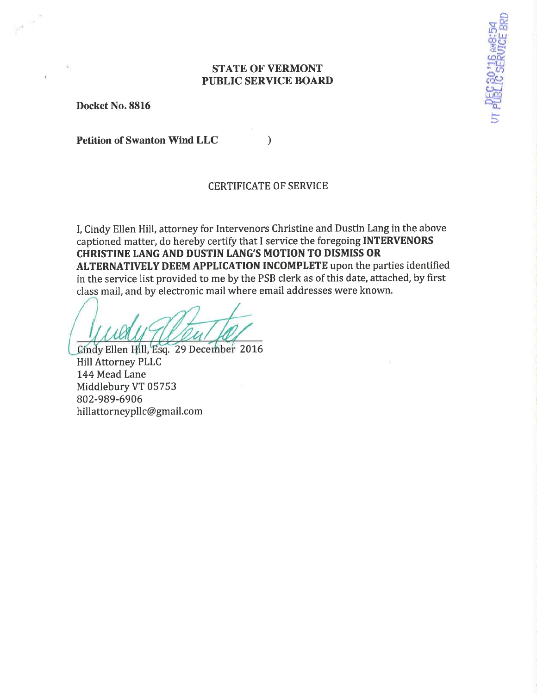## STATE OF VERMONT PUBLIC SERVICE BOARD

 $\frac{1}{2}$  $\mathbb{R}^m$ ëå# .tl:5 ¿ëûc ?-lLJ.l

<u>දින්</u>

ry<br>a

Docket No.8816

Petition of Swanton Wind LLC

### CERTIFICATE OF SERVICE

)

I, Cindy Ellen Hill, attorney for Intervenors Christine and Dustin Lang in the above captioned matter, do hereby certify that I service the foregoing INTERVENORS CHRISTINE IANG AND DUSTIN IANG'S MOTION TO DISMISS OR ALTERNATIVELY DEEM APPLICATION INCOMPLETE upon the parties identified in the service list provided to me by the PSB clerk as of this date, attached, by first class mail, and by electronic mail where email addresses were known.

Cindy Ellen Hill, Esq. 29 December 2016 Hill Attorney PLLC 144 Mead Lane Middlebury VT 05753 802-989-6906 hillattorneypllc@gmail.com